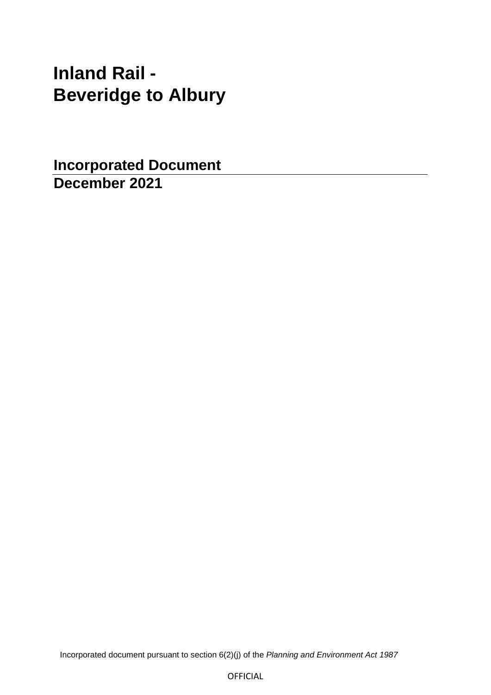# **Inland Rail - Beveridge to Albury**

**Incorporated Document December 2021**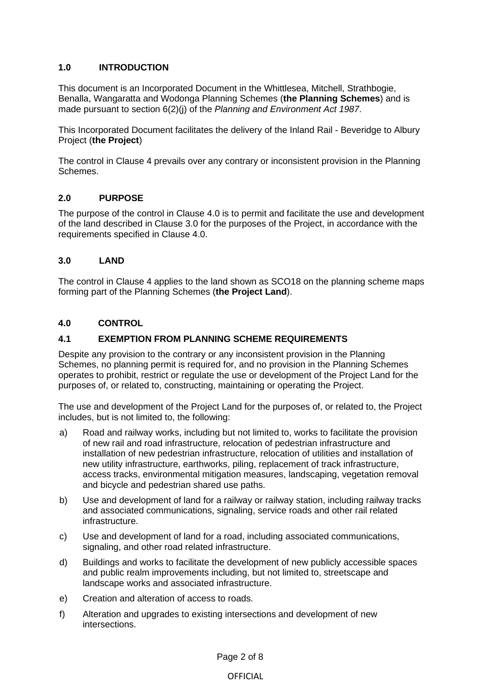# **1.0 INTRODUCTION**

This document is an Incorporated Document in the Whittlesea, Mitchell, Strathbogie, Benalla, Wangaratta and Wodonga Planning Schemes (**the Planning Schemes**) and is made pursuant to section 6(2)(j) of the *Planning and Environment Act 1987*.

This Incorporated Document facilitates the delivery of the Inland Rail - Beveridge to Albury Project (**the Project**)

The control in Clause 4 prevails over any contrary or inconsistent provision in the Planning Schemes.

## **2.0 PURPOSE**

The purpose of the control in Clause 4.0 is to permit and facilitate the use and development of the land described in Clause 3.0 for the purposes of the Project, in accordance with the requirements specified in Clause 4.0.

## **3.0 LAND**

The control in Clause 4 applies to the land shown as SCO18 on the planning scheme maps forming part of the Planning Schemes (**the Project Land**).

## **4.0 CONTROL**

## **4.1 EXEMPTION FROM PLANNING SCHEME REQUIREMENTS**

Despite any provision to the contrary or any inconsistent provision in the Planning Schemes, no planning permit is required for, and no provision in the Planning Schemes operates to prohibit, restrict or regulate the use or development of the Project Land for the purposes of, or related to, constructing, maintaining or operating the Project.

The use and development of the Project Land for the purposes of, or related to, the Project includes, but is not limited to, the following:

- a) Road and railway works, including but not limited to, works to facilitate the provision of new rail and road infrastructure, relocation of pedestrian infrastructure and installation of new pedestrian infrastructure, relocation of utilities and installation of new utility infrastructure, earthworks, piling, replacement of track infrastructure, access tracks, environmental mitigation measures, landscaping, vegetation removal and bicycle and pedestrian shared use paths.
- b) Use and development of land for a railway or railway station, including railway tracks and associated communications, signaling, service roads and other rail related infrastructure.
- c) Use and development of land for a road, including associated communications, signaling, and other road related infrastructure.
- d) Buildings and works to facilitate the development of new publicly accessible spaces and public realm improvements including, but not limited to, streetscape and landscape works and associated infrastructure.
- e) Creation and alteration of access to roads.
- f) Alteration and upgrades to existing intersections and development of new intersections.

Page 2 of 8

#### **OFFICIAL**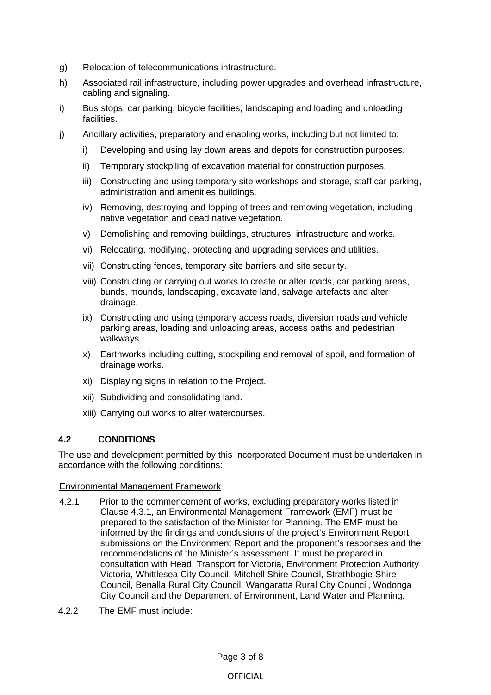- g) Relocation of telecommunications infrastructure.
- h) Associated rail infrastructure, including power upgrades and overhead infrastructure, cabling and signaling.
- i) Bus stops, car parking, bicycle facilities, landscaping and loading and unloading facilities.
- j) Ancillary activities, preparatory and enabling works, including but not limited to:
	- i) Developing and using lay down areas and depots for construction purposes.
	- ii) Temporary stockpiling of excavation material for construction purposes.
	- iii) Constructing and using temporary site workshops and storage, staff car parking, administration and amenities buildings.
	- iv) Removing, destroying and lopping of trees and removing vegetation, including native vegetation and dead native vegetation.
	- v) Demolishing and removing buildings, structures, infrastructure and works.
	- vi) Relocating, modifying, protecting and upgrading services and utilities.
	- vii) Constructing fences, temporary site barriers and site security.
	- viii) Constructing or carrying out works to create or alter roads, car parking areas, bunds, mounds, landscaping, excavate land, salvage artefacts and alter drainage.
	- ix) Constructing and using temporary access roads, diversion roads and vehicle parking areas, loading and unloading areas, access paths and pedestrian walkways.
	- x) Earthworks including cutting, stockpiling and removal of spoil, and formation of drainage works.
	- xi) Displaying signs in relation to the Project.
	- xii) Subdividing and consolidating land.
	- xiii) Carrying out works to alter watercourses.

# **4.2 CONDITIONS**

The use and development permitted by this Incorporated Document must be undertaken in accordance with the following conditions:

#### Environmental Management Framework

- 4.2.1 Prior to the commencement of works, excluding preparatory works listed in Clause 4.3.1, an Environmental Management Framework (EMF) must be prepared to the satisfaction of the Minister for Planning. The EMF must be informed by the findings and conclusions of the project's Environment Report, submissions on the Environment Report and the proponent's responses and the recommendations of the Minister's assessment. It must be prepared in consultation with Head, Transport for Victoria, Environment Protection Authority Victoria, Whittlesea City Council, Mitchell Shire Council, Strathbogie Shire Council, Benalla Rural City Council, Wangaratta Rural City Council, Wodonga City Council and the Department of Environment, Land Water and Planning.
- 4.2.2 The EMF must include: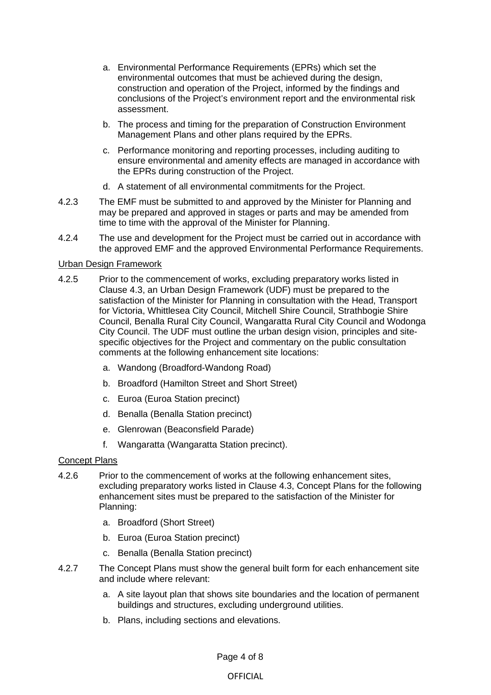- a. Environmental Performance Requirements (EPRs) which set the environmental outcomes that must be achieved during the design, construction and operation of the Project, informed by the findings and conclusions of the Project's environment report and the environmental risk assessment.
- b. The process and timing for the preparation of Construction Environment Management Plans and other plans required by the EPRs.
- c. Performance monitoring and reporting processes, including auditing to ensure environmental and amenity effects are managed in accordance with the EPRs during construction of the Project.
- d. A statement of all environmental commitments for the Project.
- 4.2.3 The EMF must be submitted to and approved by the Minister for Planning and may be prepared and approved in stages or parts and may be amended from time to time with the approval of the Minister for Planning.
- 4.2.4 The use and development for the Project must be carried out in accordance with the approved EMF and the approved Environmental Performance Requirements.

#### Urban Design Framework

- 4.2.5 Prior to the commencement of works, excluding preparatory works listed in Clause 4.3, an Urban Design Framework (UDF) must be prepared to the satisfaction of the Minister for Planning in consultation with the Head, Transport for Victoria, Whittlesea City Council, Mitchell Shire Council, Strathbogie Shire Council, Benalla Rural City Council, Wangaratta Rural City Council and Wodonga City Council. The UDF must outline the urban design vision, principles and sitespecific objectives for the Project and commentary on the public consultation comments at the following enhancement site locations:
	- a. Wandong (Broadford-Wandong Road)
	- b. Broadford (Hamilton Street and Short Street)
	- c. Euroa (Euroa Station precinct)
	- d. Benalla (Benalla Station precinct)
	- e. Glenrowan (Beaconsfield Parade)
	- f. Wangaratta (Wangaratta Station precinct).

#### Concept Plans

- 4.2.6 Prior to the commencement of works at the following enhancement sites, excluding preparatory works listed in Clause 4.3, Concept Plans for the following enhancement sites must be prepared to the satisfaction of the Minister for Planning:
	- a. Broadford (Short Street)
	- b. Euroa (Euroa Station precinct)
	- c. Benalla (Benalla Station precinct)
- 4.2.7 The Concept Plans must show the general built form for each enhancement site and include where relevant:
	- a. A site layout plan that shows site boundaries and the location of permanent buildings and structures, excluding underground utilities.
	- b. Plans, including sections and elevations.

Page 4 of 8

#### **OFFICIAL**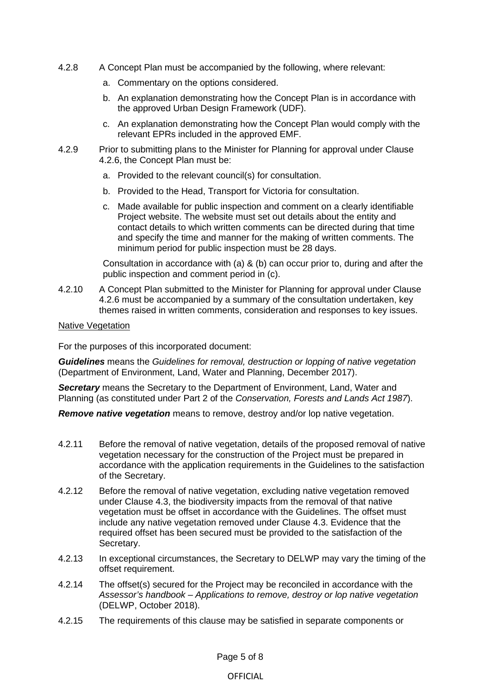- 4.2.8 A Concept Plan must be accompanied by the following, where relevant:
	- a. Commentary on the options considered.
	- b. An explanation demonstrating how the Concept Plan is in accordance with the approved Urban Design Framework (UDF).
	- c. An explanation demonstrating how the Concept Plan would comply with the relevant EPRs included in the approved EMF.
- 4.2.9 Prior to submitting plans to the Minister for Planning for approval under Clause 4.2.6, the Concept Plan must be:
	- a. Provided to the relevant council(s) for consultation.
	- b. Provided to the Head, Transport for Victoria for consultation.
	- c. Made available for public inspection and comment on a clearly identifiable Project website. The website must set out details about the entity and contact details to which written comments can be directed during that time and specify the time and manner for the making of written comments. The minimum period for public inspection must be 28 days.

Consultation in accordance with (a) & (b) can occur prior to, during and after the public inspection and comment period in (c).

4.2.10 A Concept Plan submitted to the Minister for Planning for approval under Clause 4.2.6 must be accompanied by a summary of the consultation undertaken, key themes raised in written comments, consideration and responses to key issues.

#### Native Vegetation

For the purposes of this incorporated document:

*Guidelines* means the *Guidelines for removal, destruction or lopping of native vegetation*  (Department of Environment, Land, Water and Planning, December 2017).

*Secretary* means the Secretary to the Department of Environment, Land, Water and Planning (as constituted under Part 2 of the *Conservation, Forests and Lands Act 1987*).

*Remove native vegetation* means to remove, destroy and/or lop native vegetation.

- 4.2.11 Before the removal of native vegetation, details of the proposed removal of native vegetation necessary for the construction of the Project must be prepared in accordance with the application requirements in the Guidelines to the satisfaction of the Secretary.
- 4.2.12 Before the removal of native vegetation, excluding native vegetation removed under Clause 4.3, the biodiversity impacts from the removal of that native vegetation must be offset in accordance with the Guidelines. The offset must include any native vegetation removed under Clause 4.3. Evidence that the required offset has been secured must be provided to the satisfaction of the Secretary.
- 4.2.13 In exceptional circumstances, the Secretary to DELWP may vary the timing of the offset requirement.
- 4.2.14 The offset(s) secured for the Project may be reconciled in accordance with the *Assessor's handbook – Applications to remove, destroy or lop native vegetation* (DELWP, October 2018).
- 4.2.15 The requirements of this clause may be satisfied in separate components or

# OFFICIAL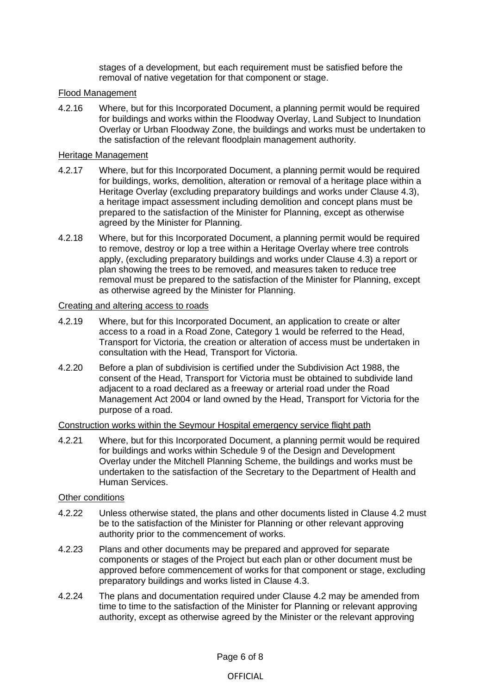stages of a development, but each requirement must be satisfied before the removal of native vegetation for that component or stage.

#### Flood Management

4.2.16 Where, but for this Incorporated Document, a planning permit would be required for buildings and works within the Floodway Overlay, Land Subject to Inundation Overlay or Urban Floodway Zone, the buildings and works must be undertaken to the satisfaction of the relevant floodplain management authority.

#### Heritage Management

- 4.2.17 Where, but for this Incorporated Document, a planning permit would be required for buildings, works, demolition, alteration or removal of a heritage place within a Heritage Overlay (excluding preparatory buildings and works under Clause 4.3), a heritage impact assessment including demolition and concept plans must be prepared to the satisfaction of the Minister for Planning, except as otherwise agreed by the Minister for Planning.
- 4.2.18 Where, but for this Incorporated Document, a planning permit would be required to remove, destroy or lop a tree within a Heritage Overlay where tree controls apply, (excluding preparatory buildings and works under Clause 4.3) a report or plan showing the trees to be removed, and measures taken to reduce tree removal must be prepared to the satisfaction of the Minister for Planning, except as otherwise agreed by the Minister for Planning.

#### Creating and altering access to roads

- 4.2.19 Where, but for this Incorporated Document, an application to create or alter access to a road in a Road Zone, Category 1 would be referred to the Head, Transport for Victoria, the creation or alteration of access must be undertaken in consultation with the Head, Transport for Victoria.
- 4.2.20 Before a plan of subdivision is certified under the Subdivision Act 1988, the consent of the Head, Transport for Victoria must be obtained to subdivide land adjacent to a road declared as a freeway or arterial road under the Road Management Act 2004 or land owned by the Head, Transport for Victoria for the purpose of a road.

#### Construction works within the Seymour Hospital emergency service flight path

4.2.21 Where, but for this Incorporated Document, a planning permit would be required for buildings and works within Schedule 9 of the Design and Development Overlay under the Mitchell Planning Scheme, the buildings and works must be undertaken to the satisfaction of the Secretary to the Department of Health and Human Services.

#### Other conditions

- 4.2.22 Unless otherwise stated, the plans and other documents listed in Clause 4.2 must be to the satisfaction of the Minister for Planning or other relevant approving authority prior to the commencement of works.
- 4.2.23 Plans and other documents may be prepared and approved for separate components or stages of the Project but each plan or other document must be approved before commencement of works for that component or stage, excluding preparatory buildings and works listed in Clause 4.3.
- 4.2.24 The plans and documentation required under Clause 4.2 may be amended from time to time to the satisfaction of the Minister for Planning or relevant approving authority, except as otherwise agreed by the Minister or the relevant approving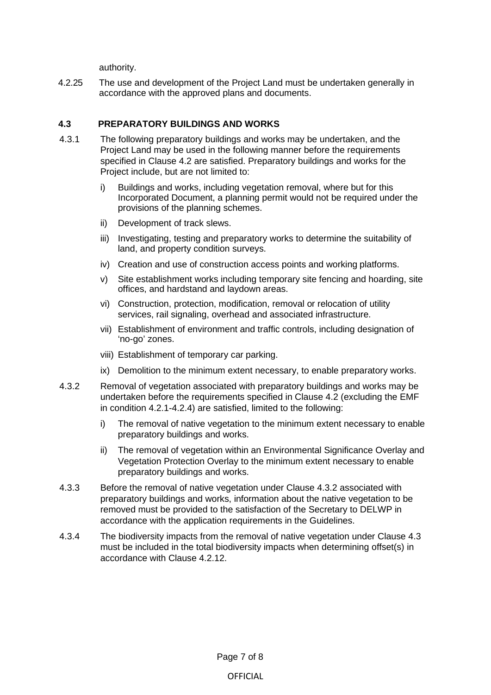authority.

4.2.25 The use and development of the Project Land must be undertaken generally in accordance with the approved plans and documents.

#### **4.3 PREPARATORY BUILDINGS AND WORKS**

- 4.3.1 The following preparatory buildings and works may be undertaken, and the Project Land may be used in the following manner before the requirements specified in Clause 4.2 are satisfied. Preparatory buildings and works for the Project include, but are not limited to:
	- i) Buildings and works, including vegetation removal, where but for this Incorporated Document, a planning permit would not be required under the provisions of the planning schemes.
	- ii) Development of track slews.
	- iii) Investigating, testing and preparatory works to determine the suitability of land, and property condition surveys.
	- iv) Creation and use of construction access points and working platforms.
	- v) Site establishment works including temporary site fencing and hoarding, site offices, and hardstand and laydown areas.
	- vi) Construction, protection, modification, removal or relocation of utility services, rail signaling, overhead and associated infrastructure.
	- vii) Establishment of environment and traffic controls, including designation of 'no-go' zones.
	- viii) Establishment of temporary car parking.
	- ix) Demolition to the minimum extent necessary, to enable preparatory works.
- 4.3.2 Removal of vegetation associated with preparatory buildings and works may be undertaken before the requirements specified in Clause 4.2 (excluding the EMF in condition 4.2.1-4.2.4) are satisfied, limited to the following:
	- i) The removal of native vegetation to the minimum extent necessary to enable preparatory buildings and works.
	- ii) The removal of vegetation within an Environmental Significance Overlay and Vegetation Protection Overlay to the minimum extent necessary to enable preparatory buildings and works.
- 4.3.3 Before the removal of native vegetation under Clause 4.3.2 associated with preparatory buildings and works, information about the native vegetation to be removed must be provided to the satisfaction of the Secretary to DELWP in accordance with the application requirements in the Guidelines.
- 4.3.4 The biodiversity impacts from the removal of native vegetation under Clause 4.3 must be included in the total biodiversity impacts when determining offset(s) in accordance with Clause 4.2.12.